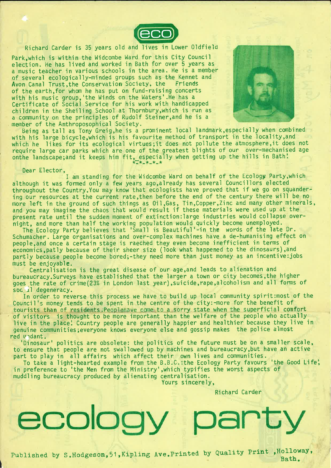

## Richard Carder is <sup>35</sup> years old and lives in Lower Oldfield

Park, which is within the Widcombe Ward for this City Council election. He has lived and worked in Bath for over <sup>5</sup> years as <sup>a</sup> music teacher in various schools in the area. He is <sup>a</sup> member of several ecologically-minded groups such as the Kennet and<br>Avon Canal Trust, the Conservation Society, the Friends Avon Canal Trust, the Conservation Society, the of the earth,for whom he has put on fund—raising concerts with his music group,'the Winds on the Waters'.He has <sup>a</sup> Certificate of Social Service for his work with handicapped children in the Sheiling School at Thornbury,which is run as <sup>a</sup> community on the principles of Rudolf Steiner,and he is <sup>a</sup> member of the Anthroposophical Society.



Being as tall as Tony Greig,he is <sup>a</sup> proninent local landmark,especially when combined with his large bicycle,which is his favourite method of transport in the locality,and which he likes for its ecological virtues;it does not pollute the atmosphere,it does not require large car parks which are one of the greatest blights of our over—mechanised age require large car parks which are one of the greatest brights of our over-mechanis<br>onthe landscape; and it keeps him fit, especially when getting up the hills in Bath!

Dear Elector,

I am standing for the Widcombe Ward on behalf of the Ecology Party,which although it was formed only <sup>a</sup> few years ago,already has several Councillors elected throughout the Country.You may know that ecologists have proved that if we go on squander ing our resources at the current rate,then before the end of the century there will be no more left in the ground of such things as 0il,Gas, Tin,Copper,Zinc and many other minerals, and you may imagine the chaos that would result if these materials were used up at the present rate until the sudden moment of extinction: large industries would collapse overnight, and more than half the working population would quickly become unemployed.

The Ecology Party believes that 'Small is Beautiful'-in the words of the late Dr. Schumacher. Large organisations and over-complex machines have <sup>a</sup> de-humanising effect on pe0ple,and once <sup>a</sup> certain stage is raeched they even become inefficient in terms of economics,patly because of their sheer size (look what happened to the dinosaurs),and partly because people become bored;-they need more than just money as an incentive:jobs

must be enjoyabl**e.**<br>Centralisation is the great disease of our age,and leads to alienation and bureaucracy.Surveys have established that the larger <sup>a</sup> town or city becomes,the higher goes the rate of crime(23% in London last year), suicide, rape, alcoholism and all forms of soc<sub>1</sub>l degeneracy.

In order to reverse this process we have to build up local community spirit:most of the Council's money tends to be spent in the centre of the city:-more for the benefit of tourists than of residents. Peoplehave come to a sorry state when the superficial comfort of visitors is thought to be more important than the welfare of the people who actually live in the place! Country people are generally happier and healthier because they live in genuine communities; everyone knows everyone else and gossip makes the police almost red vidant.

'Dinosaur' politics are obsolete: the politics of the future must be on <sup>a</sup> smaller scale, to ensure that people are not swallowed up by machines and bureaucracy,but have an active part to play in all affairs which affect their own lives and communities.

To take <sup>a</sup> light-hearted example from the B.B.C.:the Ecology Party favours 'the Good Life; in preference to 'the Men from the Ministry',which typifies the worst aspects of muddling bureaucracy produced by alienating centralisation.

Yours sincerely,

Richard Carder

Published by S.Hodgeson, 51, Kipling Ave. Printed by Quality Print , Holloway,

ecology party